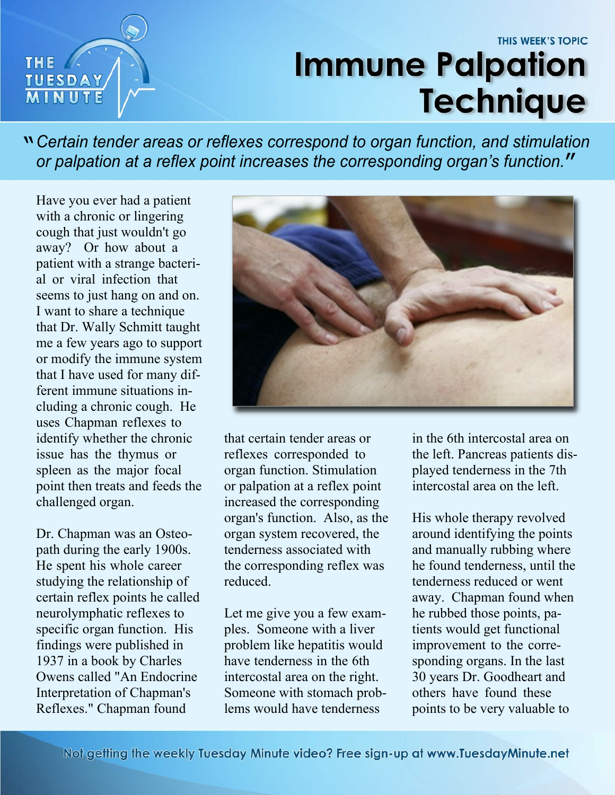## THIS WEEK'S TOPIC **Immune Palpation Technique**

*Certain tender areas or reflexes correspond to organ function, and stimulation* " *or palpation at a reflex point increases the corresponding organ's function.* "

Have you ever had a patient with a chronic or lingering cough that just wouldn't go away? Or how about a patient with a strange bacterial or viral infection that seems to just hang on and on. I want to share a technique that Dr. Wally Schmitt taught me a few years ago to support or modify the immune system that I have used for many different immune situations including a chronic cough. He uses Chapman reflexes to identify whether the chronic issue has the thymus or spleen as the major focal point then treats and feeds the challenged organ.

**THE** 

**TUESDAY** 

Dr. Chapman was an Osteopath during the early 1900s. He spent his whole career studying the relationship of certain reflex points he called neurolymphatic reflexes to specific organ function. His findings were published in 1937 in a book by Charles Owens called "An Endocrine Interpretation of Chapman's Reflexes." Chapman found



that certain tender areas or reflexes corresponded to organ function. Stimulation or palpation at a reflex point increased the corresponding organ's function. Also, as the organ system recovered, the tenderness associated with the corresponding reflex was reduced.

Let me give you a few examples. Someone with a liver problem like hepatitis would have tenderness in the 6th intercostal area on the right. Someone with stomach problems would have tenderness

in the 6th intercostal area on the left. Pancreas patients displayed tenderness in the 7th intercostal area on the left.

His whole therapy revolved around identifying the points and manually rubbing where he found tenderness, until the tenderness reduced or went away. Chapman found when he rubbed those points, patients would get functional improvement to the corresponding organs. In the last 30 years Dr. Goodheart and others have found these points to be very valuable to